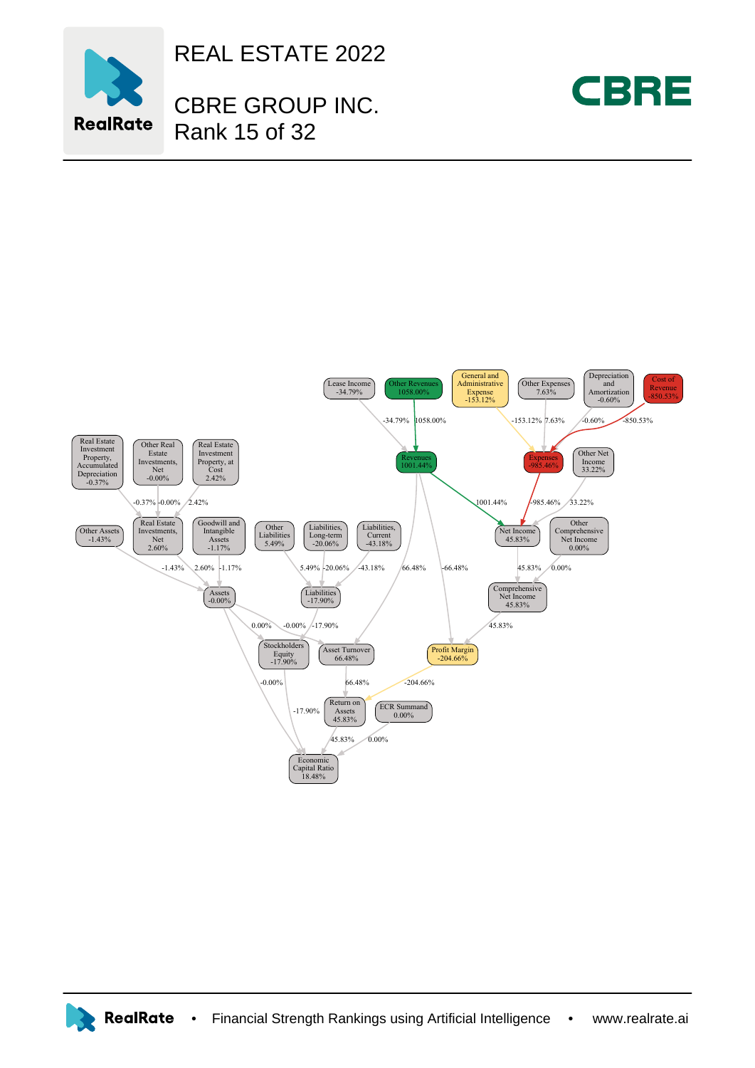

REAL ESTATE 2022

CBRE GROUP INC. Rank 15 of 32